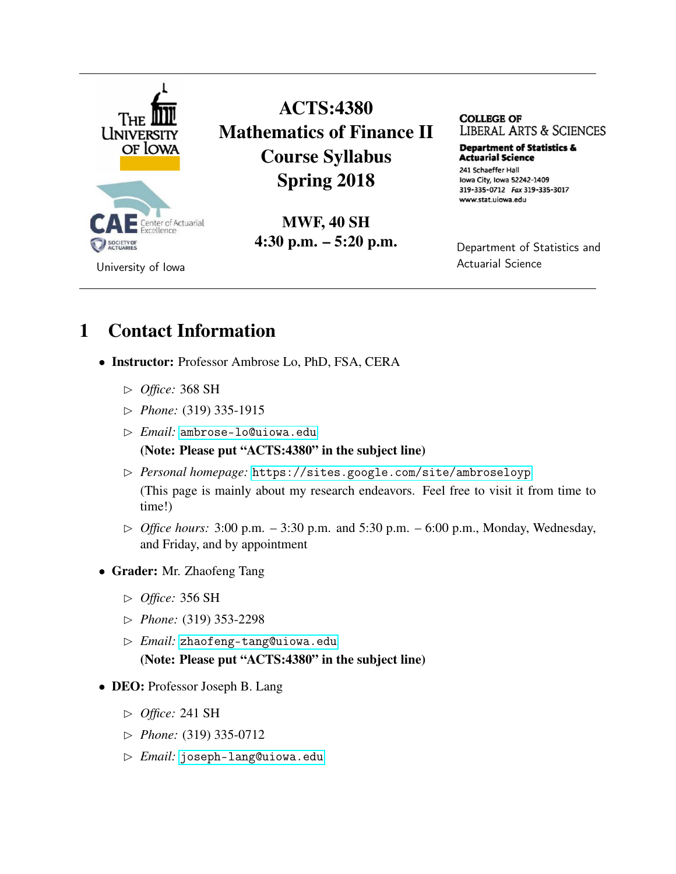

ACTS:4380 Mathematics of Finance II Course Syllabus Spring 2018

> MWF, 40 SH 4:30 p.m. – 5:20 p.m.

**COLLEGE OF**  LIBERAL ARTS & SCIENCES

**Department of Statistics & Actuarial science**  241 Schaeffer Hall Iowa City, Iowa 52242-1409 319-335-0712 Fax 319-335-3017 www.stat.uiowa.edu

Department of Statistics and Actuarial Science

## 1 Contact Information

- Instructor: Professor Ambrose Lo, PhD, FSA, CERA
	- *Office:* 368 SH
	- *Phone:* (319) 335-1915
	- *Email:* <ambrose-lo@uiowa.edu>

(Note: Please put "ACTS:4380" in the subject line)

- *Personal homepage:* <https://sites.google.com/site/ambroseloyp> (This page is mainly about my research endeavors. Feel free to visit it from time to time!)
- $\triangleright$  *Office hours:* 3:00 p.m. 3:30 p.m. and 5:30 p.m. 6:00 p.m., Monday, Wednesday, and Friday, and by appointment
- Grader: Mr. Zhaofeng Tang
	- *Office:* 356 SH
	- *Phone:* (319) 353-2298
	- *Email:* <zhaofeng-tang@uiowa.edu> (Note: Please put "ACTS:4380" in the subject line)
- DEO: Professor Joseph B. Lang
	- *Office:* 241 SH
	- *Phone:* (319) 335-0712
	- *Email:* <joseph-lang@uiowa.edu>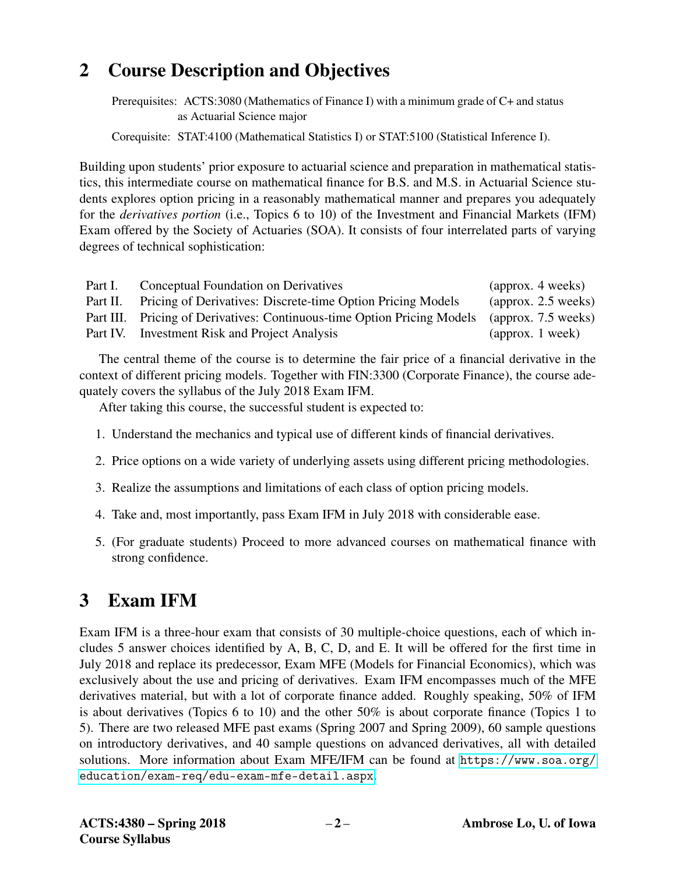## 2 Course Description and Objectives

Prerequisites: ACTS:3080 (Mathematics of Finance I) with a minimum grade of C+ and status as Actuarial Science major

Corequisite: STAT:4100 (Mathematical Statistics I) or STAT:5100 (Statistical Inference I).

Building upon students' prior exposure to actuarial science and preparation in mathematical statistics, this intermediate course on mathematical finance for B.S. and M.S. in Actuarial Science students explores option pricing in a reasonably mathematical manner and prepares you adequately for the *derivatives portion* (i.e., Topics 6 to 10) of the Investment and Financial Markets (IFM) Exam offered by the Society of Actuaries (SOA). It consists of four interrelated parts of varying degrees of technical sophistication:

| Part I.  | Conceptual Foundation on Derivatives                                    | (approx. 4 weeks)                 |
|----------|-------------------------------------------------------------------------|-----------------------------------|
| Part II. | Pricing of Derivatives: Discrete-time Option Pricing Models             | $\frac{1}{2}$ (approx. 2.5 weeks) |
|          | Part III. Pricing of Derivatives: Continuous-time Option Pricing Models | $\frac{1}{2}$ (approx. 7.5 weeks) |
|          | Part IV. Investment Risk and Project Analysis                           | $\alpha$ (approx. 1 week)         |

The central theme of the course is to determine the fair price of a financial derivative in the context of different pricing models. Together with FIN:3300 (Corporate Finance), the course adequately covers the syllabus of the July 2018 Exam IFM.

After taking this course, the successful student is expected to:

- 1. Understand the mechanics and typical use of different kinds of financial derivatives.
- 2. Price options on a wide variety of underlying assets using different pricing methodologies.
- 3. Realize the assumptions and limitations of each class of option pricing models.
- 4. Take and, most importantly, pass Exam IFM in July 2018 with considerable ease.
- 5. (For graduate students) Proceed to more advanced courses on mathematical finance with strong confidence.

## 3 Exam IFM

Exam IFM is a three-hour exam that consists of 30 multiple-choice questions, each of which includes 5 answer choices identified by A, B, C, D, and E. It will be offered for the first time in July 2018 and replace its predecessor, Exam MFE (Models for Financial Economics), which was exclusively about the use and pricing of derivatives. Exam IFM encompasses much of the MFE derivatives material, but with a lot of corporate finance added. Roughly speaking, 50% of IFM is about derivatives (Topics 6 to 10) and the other 50% is about corporate finance (Topics 1 to 5). There are two released MFE past exams (Spring 2007 and Spring 2009), 60 sample questions on introductory derivatives, and 40 sample questions on advanced derivatives, all with detailed solutions. More information about Exam MFE/IFM can be found at [https://www.soa.org/](https://www.soa.org/education/exam-req/edu-exam-mfe-detail.aspx) [education/exam-req/edu-exam-mfe-detail.aspx](https://www.soa.org/education/exam-req/edu-exam-mfe-detail.aspx).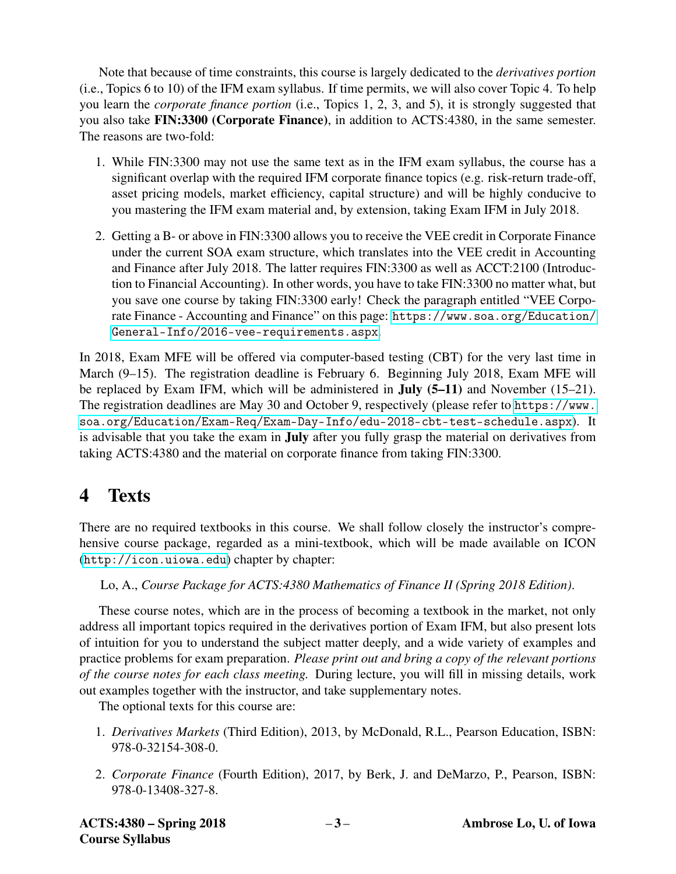Note that because of time constraints, this course is largely dedicated to the *derivatives portion* (i.e., Topics 6 to 10) of the IFM exam syllabus. If time permits, we will also cover Topic 4. To help you learn the *corporate finance portion* (i.e., Topics 1, 2, 3, and 5), it is strongly suggested that you also take FIN:3300 (Corporate Finance), in addition to ACTS:4380, in the same semester. The reasons are two-fold:

- 1. While FIN:3300 may not use the same text as in the IFM exam syllabus, the course has a significant overlap with the required IFM corporate finance topics (e.g. risk-return trade-off, asset pricing models, market efficiency, capital structure) and will be highly conducive to you mastering the IFM exam material and, by extension, taking Exam IFM in July 2018.
- 2. Getting a B- or above in FIN:3300 allows you to receive the VEE credit in Corporate Finance under the current SOA exam structure, which translates into the VEE credit in Accounting and Finance after July 2018. The latter requires FIN:3300 as well as ACCT:2100 (Introduction to Financial Accounting). In other words, you have to take FIN:3300 no matter what, but you save one course by taking FIN:3300 early! Check the paragraph entitled "VEE Corporate Finance - Accounting and Finance" on this page: [https://www.soa.org/Education/](https://www.soa.org/Education/General-Info/2016-vee-requirements.aspx) [General-Info/2016-vee-requirements.aspx](https://www.soa.org/Education/General-Info/2016-vee-requirements.aspx).

In 2018, Exam MFE will be offered via computer-based testing (CBT) for the very last time in March (9–15). The registration deadline is February 6. Beginning July 2018, Exam MFE will be replaced by Exam IFM, which will be administered in July (5–11) and November (15–21). The registration deadlines are May 30 and October 9, respectively (please refer to [https://www.](https://www.soa.org/Education/Exam-Req/Exam-Day-Info/edu-2018-cbt-test-schedule.aspx) [soa.org/Education/Exam-Req/Exam-Day-Info/edu-2018-cbt-test-schedule.aspx](https://www.soa.org/Education/Exam-Req/Exam-Day-Info/edu-2018-cbt-test-schedule.aspx)). It is advisable that you take the exam in July after you fully grasp the material on derivatives from taking ACTS:4380 and the material on corporate finance from taking FIN:3300.

## 4 Texts

There are no required textbooks in this course. We shall follow closely the instructor's comprehensive course package, regarded as a mini-textbook, which will be made available on ICON (<http://icon.uiowa.edu>) chapter by chapter:

### Lo, A., *Course Package for ACTS:4380 Mathematics of Finance II (Spring 2018 Edition)*.

These course notes, which are in the process of becoming a textbook in the market, not only address all important topics required in the derivatives portion of Exam IFM, but also present lots of intuition for you to understand the subject matter deeply, and a wide variety of examples and practice problems for exam preparation. *Please print out and bring a copy of the relevant portions of the course notes for each class meeting.* During lecture, you will fill in missing details, work out examples together with the instructor, and take supplementary notes.

The optional texts for this course are:

- 1. *Derivatives Markets* (Third Edition), 2013, by McDonald, R.L., Pearson Education, ISBN: 978-0-32154-308-0.
- 2. *Corporate Finance* (Fourth Edition), 2017, by Berk, J. and DeMarzo, P., Pearson, ISBN: 978-0-13408-327-8.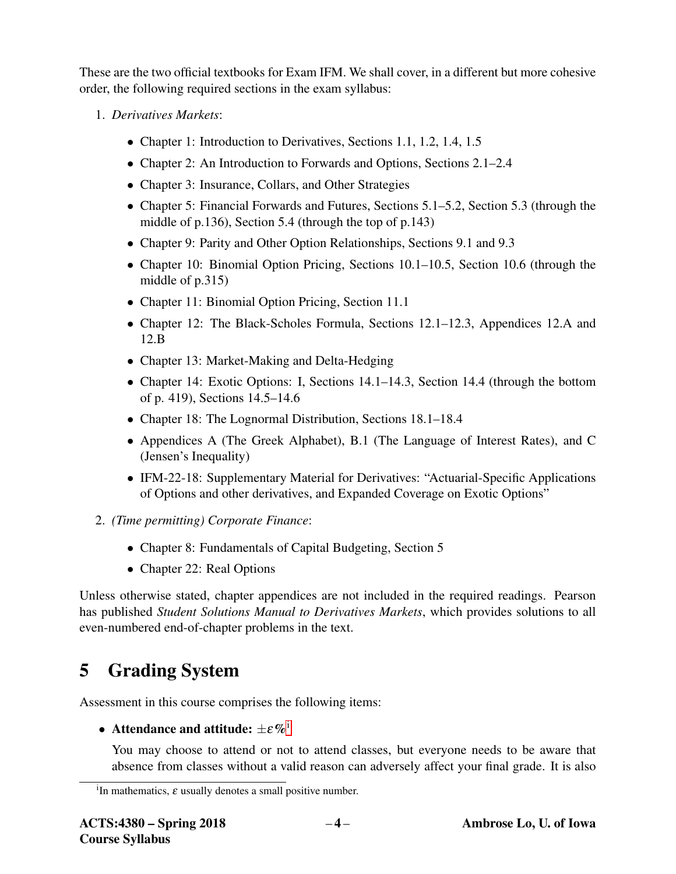These are the two official textbooks for Exam IFM. We shall cover, in a different but more cohesive order, the following required sections in the exam syllabus:

- 1. *Derivatives Markets*:
	- Chapter 1: Introduction to Derivatives, Sections 1.1, 1.2, 1.4, 1.5
	- Chapter 2: An Introduction to Forwards and Options, Sections 2.1–2.4
	- Chapter 3: Insurance, Collars, and Other Strategies
	- Chapter 5: Financial Forwards and Futures, Sections 5.1–5.2, Section 5.3 (through the middle of p.136), Section 5.4 (through the top of p.143)
	- Chapter 9: Parity and Other Option Relationships, Sections 9.1 and 9.3
	- Chapter 10: Binomial Option Pricing, Sections 10.1–10.5, Section 10.6 (through the middle of p.315)
	- Chapter 11: Binomial Option Pricing, Section 11.1
	- Chapter 12: The Black-Scholes Formula, Sections 12.1–12.3, Appendices 12.A and 12.B
	- Chapter 13: Market-Making and Delta-Hedging
	- Chapter 14: Exotic Options: I, Sections 14.1–14.3, Section 14.4 (through the bottom of p. 419), Sections 14.5–14.6
	- Chapter 18: The Lognormal Distribution, Sections 18.1–18.4
	- Appendices A (The Greek Alphabet), B.1 (The Language of Interest Rates), and C (Jensen's Inequality)
	- IFM-22-18: Supplementary Material for Derivatives: "Actuarial-Specific Applications" of Options and other derivatives, and Expanded Coverage on Exotic Options"
- 2. *(Time permitting) Corporate Finance*:
	- Chapter 8: Fundamentals of Capital Budgeting, Section 5
	- Chapter 22: Real Options

Unless otherwise stated, chapter appendices are not included in the required readings. Pearson has published *Student Solutions Manual to Derivatives Markets*, which provides solutions to all even-numbered end-of-chapter problems in the text.

# 5 Grading System

Assessment in this course comprises the following items:

• Attendance and att[i](#page-3-0)tude:  $\pm \varepsilon \%$ <sup>i</sup>

You may choose to attend or not to attend classes, but everyone needs to be aware that absence from classes without a valid reason can adversely affect your final grade. It is also

<span id="page-3-0"></span><sup>&</sup>lt;sup>i</sup>In mathematics,  $\varepsilon$  usually denotes a small positive number.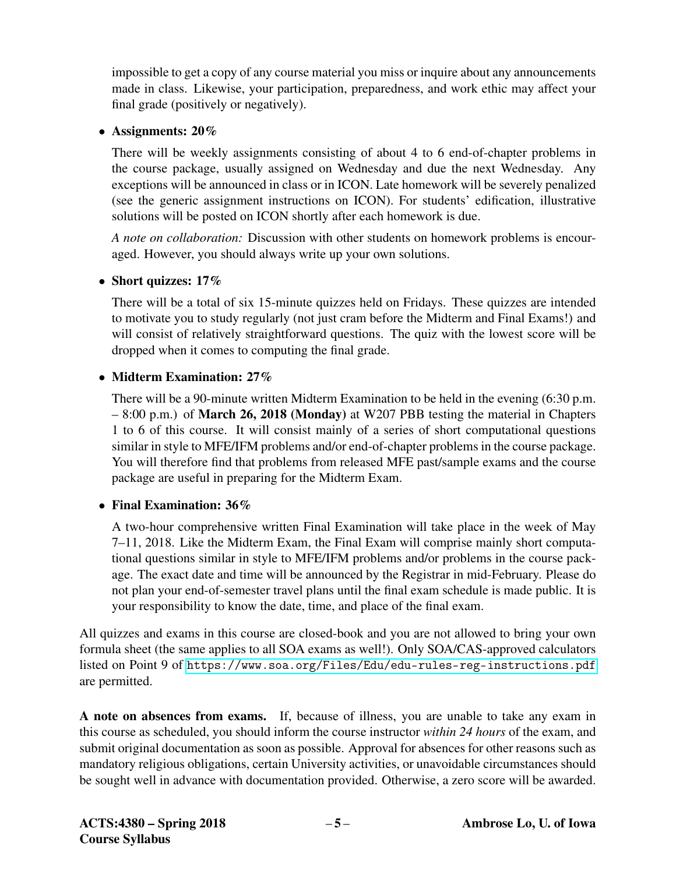impossible to get a copy of any course material you miss or inquire about any announcements made in class. Likewise, your participation, preparedness, and work ethic may affect your final grade (positively or negatively).

### • Assignments: 20%

There will be weekly assignments consisting of about 4 to 6 end-of-chapter problems in the course package, usually assigned on Wednesday and due the next Wednesday. Any exceptions will be announced in class or in ICON. Late homework will be severely penalized (see the generic assignment instructions on ICON). For students' edification, illustrative solutions will be posted on ICON shortly after each homework is due.

*A note on collaboration:* Discussion with other students on homework problems is encouraged. However, you should always write up your own solutions.

### • Short quizzes: 17%

There will be a total of six 15-minute quizzes held on Fridays. These quizzes are intended to motivate you to study regularly (not just cram before the Midterm and Final Exams!) and will consist of relatively straightforward questions. The quiz with the lowest score will be dropped when it comes to computing the final grade.

### • Midterm Examination: 27%

There will be a 90-minute written Midterm Examination to be held in the evening (6:30 p.m. – 8:00 p.m.) of March 26, 2018 (Monday) at W207 PBB testing the material in Chapters 1 to 6 of this course. It will consist mainly of a series of short computational questions similar in style to MFE/IFM problems and/or end-of-chapter problems in the course package. You will therefore find that problems from released MFE past/sample exams and the course package are useful in preparing for the Midterm Exam.

### • Final Examination: 36%

A two-hour comprehensive written Final Examination will take place in the week of May 7–11, 2018. Like the Midterm Exam, the Final Exam will comprise mainly short computational questions similar in style to MFE/IFM problems and/or problems in the course package. The exact date and time will be announced by the Registrar in mid-February. Please do not plan your end-of-semester travel plans until the final exam schedule is made public. It is your responsibility to know the date, time, and place of the final exam.

All quizzes and exams in this course are closed-book and you are not allowed to bring your own formula sheet (the same applies to all SOA exams as well!). Only SOA/CAS-approved calculators listed on Point 9 of <https://www.soa.org/Files/Edu/edu-rules-reg-instructions.pdf> are permitted.

A note on absences from exams. If, because of illness, you are unable to take any exam in this course as scheduled, you should inform the course instructor *within 24 hours* of the exam, and submit original documentation as soon as possible. Approval for absences for other reasons such as mandatory religious obligations, certain University activities, or unavoidable circumstances should be sought well in advance with documentation provided. Otherwise, a zero score will be awarded.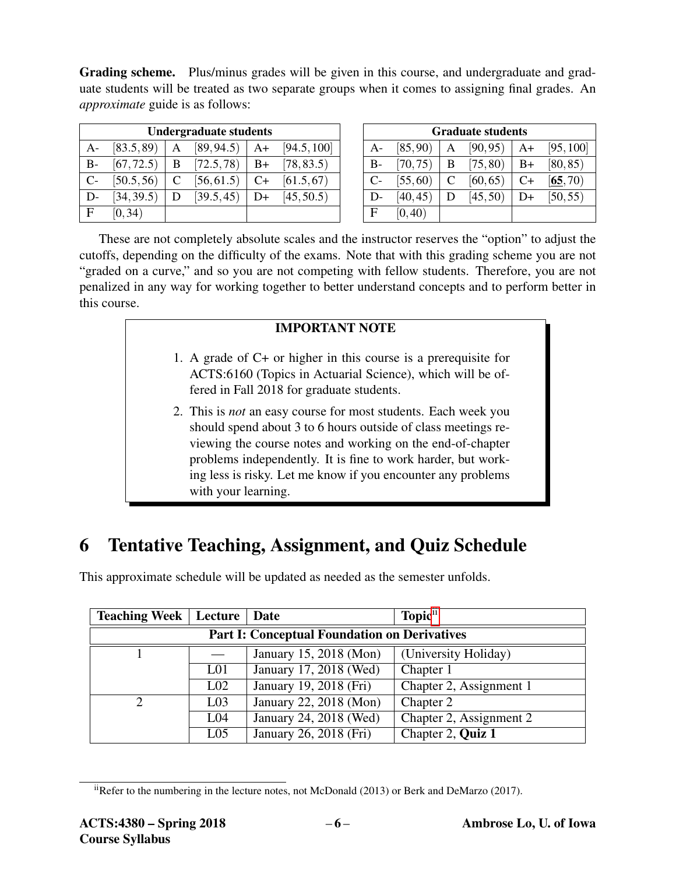Grading scheme. Plus/minus grades will be given in this course, and undergraduate and graduate students will be treated as two separate groups when it comes to assigning final grades. An *approximate* guide is as follows:

|      | <b>Undergraduate students</b> |   |            |      |             |
|------|-------------------------------|---|------------|------|-------------|
| A-   | [83.5, 89]                    | А | [89, 94.5] | $A+$ | [94.5, 100] |
| $B-$ | [67, 72.5]                    | B | [72.5, 78] | $B+$ | [78, 83.5]  |
| $C-$ | [50.5, 56]                    | C | [56, 61.5] | $C+$ | [61.5, 67]  |
| $D-$ | [34, 39.5]                    | D | [39.5, 45] | D+   | [45, 50.5]  |
| F.   | [0, 34)                       |   |            |      |             |

| <b>Graduate students</b> |          |              |          |      |           |
|--------------------------|----------|--------------|----------|------|-----------|
| $A-$                     | [85, 90) | A            | [90, 95) | A+   | [95, 100] |
| $B-$                     | [70, 75) | - B          | [75, 80] | $B+$ | [80, 85)  |
| $C-$                     | [55, 60) | $\mathsf{C}$ | [60, 65) | $C+$ | [65, 70)  |
| $D-$                     | [40, 45) | D            | [45, 50) | D+   | [50, 55)  |
| F                        | [0, 40)  |              |          |      |           |

These are not completely absolute scales and the instructor reserves the "option" to adjust the cutoffs, depending on the difficulty of the exams. Note that with this grading scheme you are not "graded on a curve," and so you are not competing with fellow students. Therefore, you are not penalized in any way for working together to better understand concepts and to perform better in this course.

#### IMPORTANT NOTE

- 1. A grade of C+ or higher in this course is a prerequisite for ACTS:6160 (Topics in Actuarial Science), which will be offered in Fall 2018 for graduate students.
- 2. This is *not* an easy course for most students. Each week you should spend about 3 to 6 hours outside of class meetings reviewing the course notes and working on the end-of-chapter problems independently. It is fine to work harder, but working less is risky. Let me know if you encounter any problems with your learning.

## 6 Tentative Teaching, Assignment, and Quiz Schedule

| <b>Teaching Week   Lecture   Date</b>               |                 |                                     | Topic <sup>ii</sup>     |  |  |
|-----------------------------------------------------|-----------------|-------------------------------------|-------------------------|--|--|
| <b>Part I: Conceptual Foundation on Derivatives</b> |                 |                                     |                         |  |  |
|                                                     |                 | January 15, 2018 (Mon)              | (University Holiday)    |  |  |
|                                                     | L <sub>01</sub> | January 17, 2018 (Wed)              | Chapter 1               |  |  |
|                                                     | L <sub>02</sub> | January 19, 2018 (Fri)              | Chapter 2, Assignment 1 |  |  |
|                                                     | L <sub>03</sub> | January 22, 2018 (Mon)              | Chapter 2               |  |  |
|                                                     | L <sub>04</sub> | January 24, $\overline{2018}$ (Wed) | Chapter 2, Assignment 2 |  |  |
|                                                     | L <sub>05</sub> | January 26, 2018 (Fri)              | Chapter 2, Quiz 1       |  |  |

This approximate schedule will be updated as needed as the semester unfolds.

<span id="page-5-0"></span> $i$ Refer to the numbering in the lecture notes, not McDonald (2013) or Berk and DeMarzo (2017).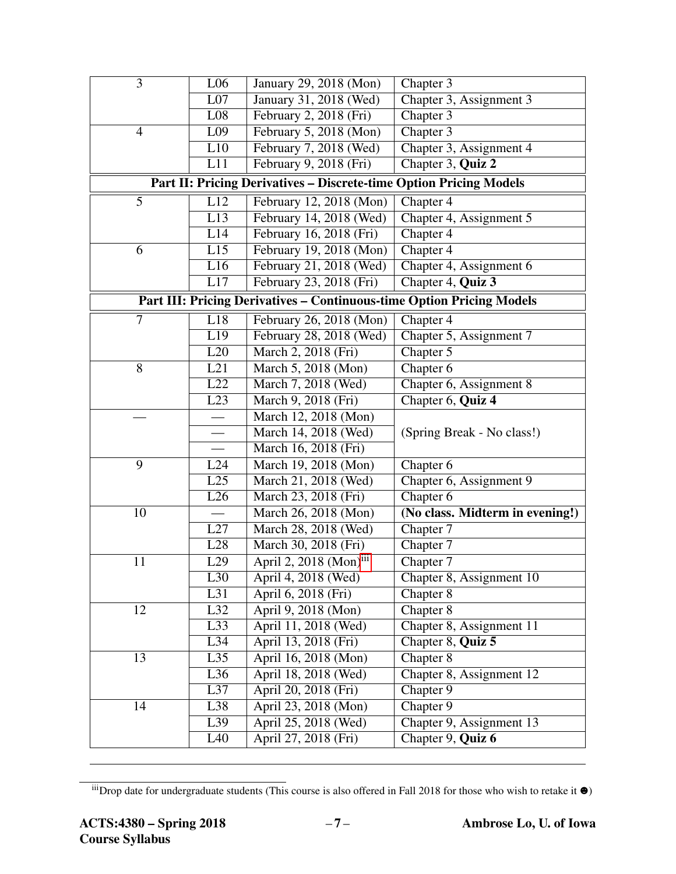| $\overline{3}$                                                            | L <sub>06</sub>  | January 29, 2018 (Mon)                                                       | Chapter 3                       |  |  |  |
|---------------------------------------------------------------------------|------------------|------------------------------------------------------------------------------|---------------------------------|--|--|--|
|                                                                           | L07              | January 31, 2018 (Wed)                                                       | Chapter 3, Assignment 3         |  |  |  |
|                                                                           | $\overline{L08}$ | February 2, 2018 (Fri)                                                       | Chapter 3                       |  |  |  |
| $\overline{4}$                                                            | L <sub>09</sub>  | February 5, 2018 (Mon)                                                       | Chapter 3                       |  |  |  |
|                                                                           | L10              | February 7, 2018 (Wed)                                                       | Chapter 3, Assignment 4         |  |  |  |
|                                                                           | L11              | February 9, 2018 (Fri)                                                       | Chapter 3, Quiz 2               |  |  |  |
| <b>Part II: Pricing Derivatives - Discrete-time Option Pricing Models</b> |                  |                                                                              |                                 |  |  |  |
| 5                                                                         | L12              | February 12, 2018 (Mon)                                                      | Chapter 4                       |  |  |  |
|                                                                           | L13              | February 14, 2018 (Wed)                                                      | Chapter 4, Assignment 5         |  |  |  |
|                                                                           | L14              | February 16, 2018 (Fri)                                                      | Chapter 4                       |  |  |  |
| 6                                                                         | L15              | February 19, 2018 (Mon)                                                      | Chapter 4                       |  |  |  |
|                                                                           | L16              | February 21, 2018 (Wed)                                                      | Chapter 4, Assignment 6         |  |  |  |
|                                                                           | L17              | February 23, 2018 (Fri)                                                      | Chapter 4, Quiz 3               |  |  |  |
|                                                                           |                  | <b>Part III: Pricing Derivatives - Continuous-time Option Pricing Models</b> |                                 |  |  |  |
| 7                                                                         | L18              | February 26, 2018 (Mon)                                                      | Chapter 4                       |  |  |  |
|                                                                           | L19              | February 28, 2018 (Wed)                                                      | Chapter 5, Assignment 7         |  |  |  |
|                                                                           | L20              | March 2, 2018 (Fri)                                                          | Chapter 5                       |  |  |  |
| 8                                                                         | L21              | March 5, 2018 (Mon)                                                          | Chapter 6                       |  |  |  |
|                                                                           | L22              | March 7, 2018 (Wed)                                                          | Chapter 6, Assignment 8         |  |  |  |
|                                                                           | $\overline{L23}$ | March 9, 2018 (Fri)                                                          | Chapter 6, Quiz 4               |  |  |  |
|                                                                           |                  | March 12, 2018 (Mon)                                                         |                                 |  |  |  |
|                                                                           |                  | March 14, 2018 (Wed)                                                         | (Spring Break - No class!)      |  |  |  |
|                                                                           |                  | March 16, 2018 (Fri)                                                         |                                 |  |  |  |
| 9                                                                         | L24              | March 19, 2018 (Mon)                                                         | Chapter 6                       |  |  |  |
|                                                                           | L25              | March 21, 2018 (Wed)                                                         | Chapter 6, Assignment 9         |  |  |  |
|                                                                           | L26              | March 23, 2018 (Fri)                                                         | Chapter 6                       |  |  |  |
| 10                                                                        |                  | March 26, 2018 (Mon)                                                         | (No class. Midterm in evening!) |  |  |  |
|                                                                           | L27              | March 28, 2018 (Wed)                                                         | Chapter 7                       |  |  |  |
|                                                                           | L28              | March 30, 2018 (Fri)                                                         | Chapter 7                       |  |  |  |
| 11                                                                        | L29              | April $2, 2018$ (Mon) <sup>iii</sup>                                         | Chapter 7                       |  |  |  |
|                                                                           | L30              | April 4, 2018 (Wed)                                                          | Chapter 8, Assignment 10        |  |  |  |
|                                                                           | $\overline{L31}$ | April 6, 2018 (Fri)                                                          | Chapter 8                       |  |  |  |
| 12                                                                        | L32              | April 9, 2018 (Mon)                                                          | Chapter 8                       |  |  |  |
|                                                                           | L33              | April 11, 2018 (Wed)                                                         | Chapter 8, Assignment 11        |  |  |  |
|                                                                           | L34              | April 13, 2018 (Fri)                                                         | Chapter 8, Quiz 5               |  |  |  |
| 13                                                                        | L35              | April 16, 2018 (Mon)                                                         | Chapter 8                       |  |  |  |
|                                                                           | $\overline{L36}$ | April 18, 2018 (Wed)                                                         | Chapter 8, Assignment 12        |  |  |  |
|                                                                           | L37              | April 20, 2018 (Fri)                                                         | Chapter 9                       |  |  |  |
| 14                                                                        | L38              | April 23, 2018 (Mon)                                                         | Chapter 9                       |  |  |  |
|                                                                           | L39              | April 25, 2018 (Wed)                                                         | Chapter 9, Assignment 13        |  |  |  |
|                                                                           | L40              | April 27, 2018 (Fri)                                                         | Chapter 9, Quiz 6               |  |  |  |

<span id="page-6-0"></span> $\frac{iii}{b}$ Drop date for undergraduate students (This course is also offered in Fall 2018 for those who wish to retake it  $\bullet$ )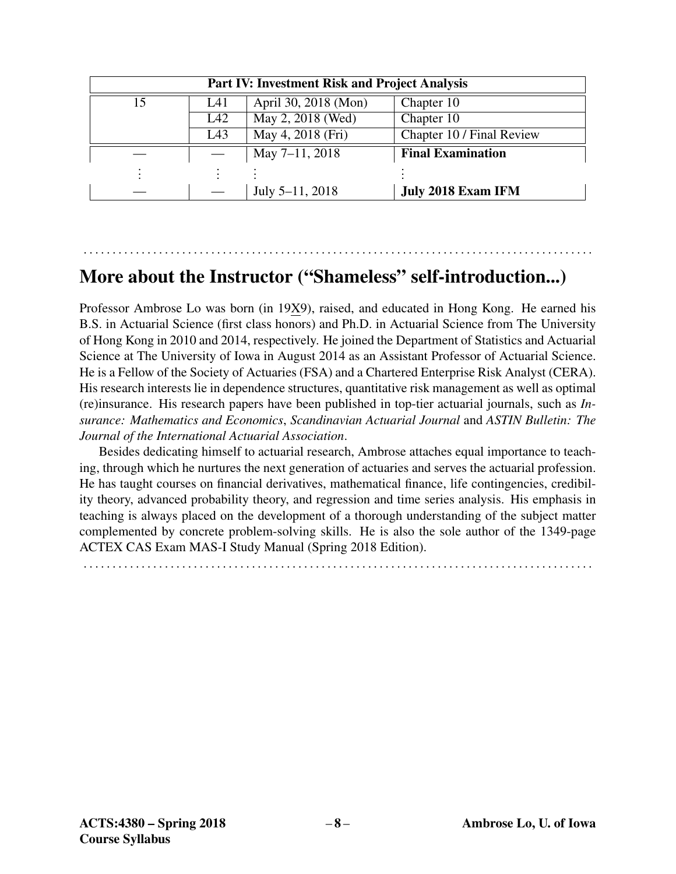| <b>Part IV: Investment Risk and Project Analysis</b> |     |                      |                           |  |  |
|------------------------------------------------------|-----|----------------------|---------------------------|--|--|
| 15                                                   | L41 | April 30, 2018 (Mon) | Chapter 10                |  |  |
|                                                      | L42 | May 2, 2018 (Wed)    | Chapter 10                |  |  |
|                                                      | L43 | May 4, 2018 (Fri)    | Chapter 10 / Final Review |  |  |
|                                                      |     | May 7-11, 2018       | <b>Final Examination</b>  |  |  |
|                                                      |     |                      |                           |  |  |
|                                                      |     | July 5-11, 2018      | <b>July 2018 Exam IFM</b> |  |  |

## More about the Instructor ("Shameless" self-introduction...)

. . . . . . . . . . . . . . . . . . . . . . . . . . . . . . . . . . . . . . . . . . . . . . . . . . . . . . . . . . . . . . . . . . . . . . . . . . . . . . . . . . . . . . . .

Professor Ambrose Lo was born (in 19X9), raised, and educated in Hong Kong. He earned his B.S. in Actuarial Science (first class honors) and Ph.D. in Actuarial Science from The University of Hong Kong in 2010 and 2014, respectively. He joined the Department of Statistics and Actuarial Science at The University of Iowa in August 2014 as an Assistant Professor of Actuarial Science. He is a Fellow of the Society of Actuaries (FSA) and a Chartered Enterprise Risk Analyst (CERA). His research interests lie in dependence structures, quantitative risk management as well as optimal (re)insurance. His research papers have been published in top-tier actuarial journals, such as *Insurance: Mathematics and Economics*, *Scandinavian Actuarial Journal* and *ASTIN Bulletin: The Journal of the International Actuarial Association*.

Besides dedicating himself to actuarial research, Ambrose attaches equal importance to teaching, through which he nurtures the next generation of actuaries and serves the actuarial profession. He has taught courses on financial derivatives, mathematical finance, life contingencies, credibility theory, advanced probability theory, and regression and time series analysis. His emphasis in teaching is always placed on the development of a thorough understanding of the subject matter complemented by concrete problem-solving skills. He is also the sole author of the 1349-page ACTEX CAS Exam MAS-I Study Manual (Spring 2018 Edition).

. . . . . . . . . . . . . . . . . . . . . . . . . . . . . . . . . . . . . . . . . . . . . . . . . . . . . . . . . . . . . . . . . . . . . . . . . . . . . . . . . . . . . . . .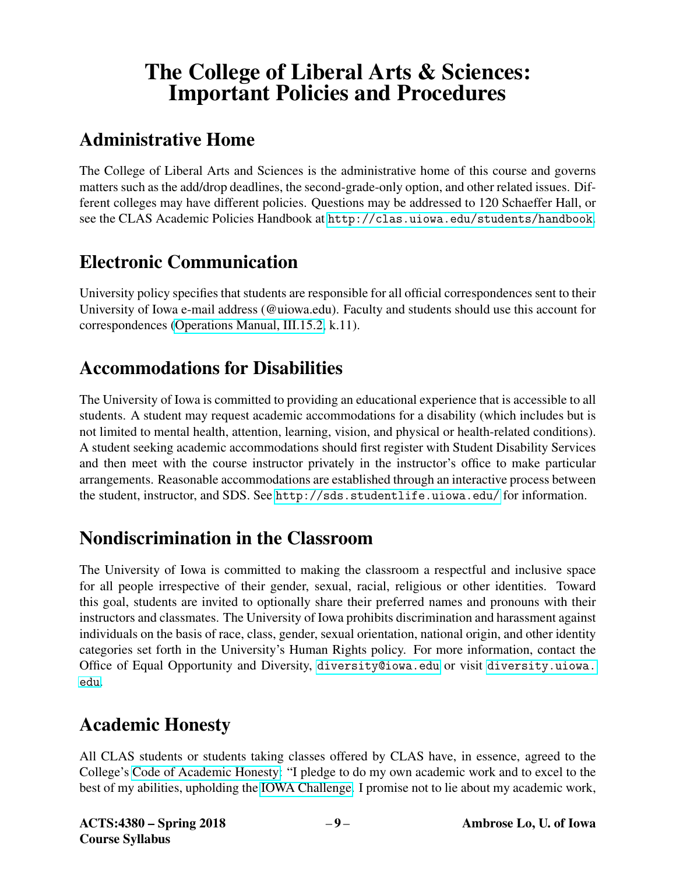# The College of Liberal Arts & Sciences: Important Policies and Procedures

## Administrative Home

The College of Liberal Arts and Sciences is the administrative home of this course and governs matters such as the add/drop deadlines, the second-grade-only option, and other related issues. Different colleges may have different policies. Questions may be addressed to 120 Schaeffer Hall, or see the CLAS Academic Policies Handbook at <http://clas.uiowa.edu/students/handbook>.

## Electronic Communication

University policy specifies that students are responsible for all official correspondences sent to their University of Iowa e-mail address (@uiowa.edu). Faculty and students should use this account for correspondences [\(Operations Manual, III.15.2,](https://opsmanual.uiowa.edu/human-resources/professional-ethics-and-academic-responsibility#15.2) k.11).

## Accommodations for Disabilities

The University of Iowa is committed to providing an educational experience that is accessible to all students. A student may request academic accommodations for a disability (which includes but is not limited to mental health, attention, learning, vision, and physical or health-related conditions). A student seeking academic accommodations should first register with Student Disability Services and then meet with the course instructor privately in the instructor's office to make particular arrangements. Reasonable accommodations are established through an interactive process between the student, instructor, and SDS. See <http://sds.studentlife.uiowa.edu/> for information.

## Nondiscrimination in the Classroom

The University of Iowa is committed to making the classroom a respectful and inclusive space for all people irrespective of their gender, sexual, racial, religious or other identities. Toward this goal, students are invited to optionally share their preferred names and pronouns with their instructors and classmates. The University of Iowa prohibits discrimination and harassment against individuals on the basis of race, class, gender, sexual orientation, national origin, and other identity categories set forth in the University's Human Rights policy. For more information, contact the Office of Equal Opportunity and Diversity, <diversity@iowa.edu> or visit [diversity.uiowa.](diversity.uiowa.edu) [edu](diversity.uiowa.edu).

## Academic Honesty

All CLAS students or students taking classes offered by CLAS have, in essence, agreed to the College's [Code of Academic Honesty:](https://clas.uiowa.edu/students/handbook/academic-fraud-honor-code) "I pledge to do my own academic work and to excel to the best of my abilities, upholding the [IOWA Challenge.](https://newstudents.uiowa.edu/iowa-challenge) I promise not to lie about my academic work,